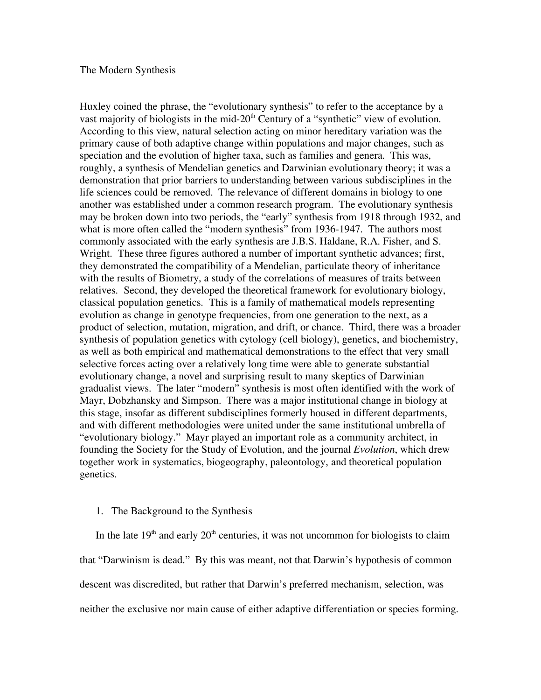### The Modern Synthesis

Huxley coined the phrase, the "evolutionary synthesis" to refer to the acceptance by a vast majority of biologists in the mid-20<sup>th</sup> Century of a "synthetic" view of evolution. According to this view, natural selection acting on minor hereditary variation was the primary cause of both adaptive change within populations and major changes, such as speciation and the evolution of higher taxa, such as families and genera. This was, roughly, a synthesis of Mendelian genetics and Darwinian evolutionary theory; it was a demonstration that prior barriers to understanding between various subdisciplines in the life sciences could be removed. The relevance of different domains in biology to one another was established under a common research program. The evolutionary synthesis may be broken down into two periods, the "early" synthesis from 1918 through 1932, and what is more often called the "modern synthesis" from 1936-1947. The authors most commonly associated with the early synthesis are J.B.S. Haldane, R.A. Fisher, and S. Wright. These three figures authored a number of important synthetic advances; first, they demonstrated the compatibility of a Mendelian, particulate theory of inheritance with the results of Biometry, a study of the correlations of measures of traits between relatives. Second, they developed the theoretical framework for evolutionary biology, classical population genetics. This is a family of mathematical models representing evolution as change in genotype frequencies, from one generation to the next, as a product of selection, mutation, migration, and drift, or chance. Third, there was a broader synthesis of population genetics with cytology (cell biology), genetics, and biochemistry, as well as both empirical and mathematical demonstrations to the effect that very small selective forces acting over a relatively long time were able to generate substantial evolutionary change, a novel and surprising result to many skeptics of Darwinian gradualist views. The later "modern" synthesis is most often identified with the work of Mayr, Dobzhansky and Simpson. There was a major institutional change in biology at this stage, insofar as different subdisciplines formerly housed in different departments, and with different methodologies were united under the same institutional umbrella of "evolutionary biology." Mayr played an important role as a community architect, in founding the Society for the Study of Evolution, and the journal *Evolution*, which drew together work in systematics, biogeography, paleontology, and theoretical population genetics.

## 1. The Background to the Synthesis

In the late  $19<sup>th</sup>$  and early  $20<sup>th</sup>$  centuries, it was not uncommon for biologists to claim that "Darwinism is dead." By this was meant, not that Darwin's hypothesis of common descent was discredited, but rather that Darwin's preferred mechanism, selection, was neither the exclusive nor main cause of either adaptive differentiation or species forming.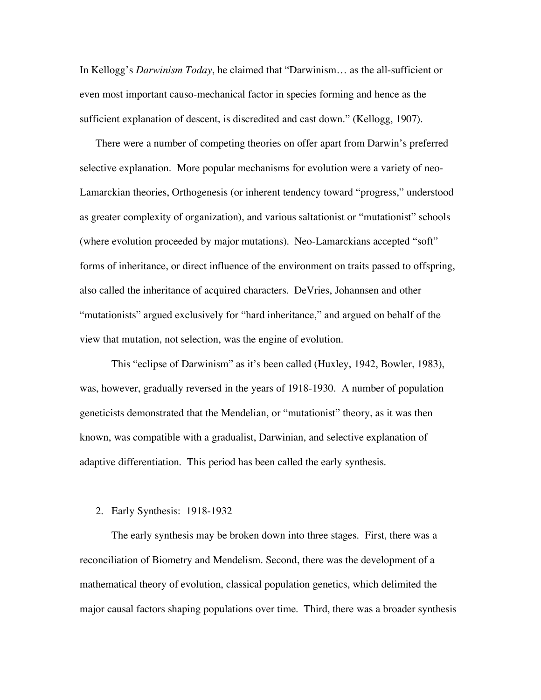In Kellogg's *Darwinism Today*, he claimed that "Darwinism… as the all-sufficient or even most important causo-mechanical factor in species forming and hence as the sufficient explanation of descent, is discredited and cast down." (Kellogg, 1907).

There were a number of competing theories on offer apart from Darwin's preferred selective explanation. More popular mechanisms for evolution were a variety of neo-Lamarckian theories, Orthogenesis (or inherent tendency toward "progress," understood as greater complexity of organization), and various saltationist or "mutationist" schools (where evolution proceeded by major mutations). Neo-Lamarckians accepted "soft" forms of inheritance, or direct influence of the environment on traits passed to offspring, also called the inheritance of acquired characters. DeVries, Johannsen and other "mutationists" argued exclusively for "hard inheritance," and argued on behalf of the view that mutation, not selection, was the engine of evolution.

This "eclipse of Darwinism" as it's been called (Huxley, 1942, Bowler, 1983), was, however, gradually reversed in the years of 1918-1930. A number of population geneticists demonstrated that the Mendelian, or "mutationist" theory, as it was then known, was compatible with a gradualist, Darwinian, and selective explanation of adaptive differentiation. This period has been called the early synthesis.

#### 2. Early Synthesis: 1918-1932

The early synthesis may be broken down into three stages. First, there was a reconciliation of Biometry and Mendelism. Second, there was the development of a mathematical theory of evolution, classical population genetics, which delimited the major causal factors shaping populations over time. Third, there was a broader synthesis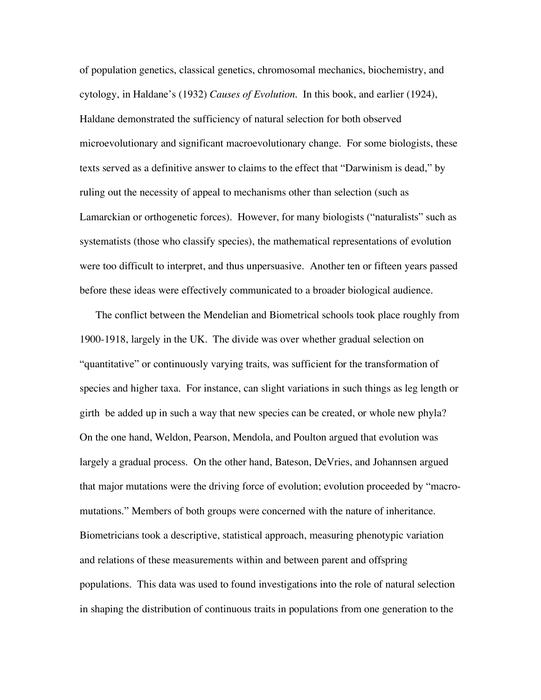of population genetics, classical genetics, chromosomal mechanics, biochemistry, and cytology, in Haldane's (1932) *Causes of Evolution*. In this book, and earlier (1924), Haldane demonstrated the sufficiency of natural selection for both observed microevolutionary and significant macroevolutionary change. For some biologists, these texts served as a definitive answer to claims to the effect that "Darwinism is dead," by ruling out the necessity of appeal to mechanisms other than selection (such as Lamarckian or orthogenetic forces). However, for many biologists ("naturalists" such as systematists (those who classify species), the mathematical representations of evolution were too difficult to interpret, and thus unpersuasive. Another ten or fifteen years passed before these ideas were effectively communicated to a broader biological audience.

The conflict between the Mendelian and Biometrical schools took place roughly from 1900-1918, largely in the UK. The divide was over whether gradual selection on "quantitative" or continuously varying traits, was sufficient for the transformation of species and higher taxa. For instance, can slight variations in such things as leg length or girth be added up in such a way that new species can be created, or whole new phyla? On the one hand, Weldon, Pearson, Mendola, and Poulton argued that evolution was largely a gradual process. On the other hand, Bateson, DeVries, and Johannsen argued that major mutations were the driving force of evolution; evolution proceeded by "macromutations." Members of both groups were concerned with the nature of inheritance. Biometricians took a descriptive, statistical approach, measuring phenotypic variation and relations of these measurements within and between parent and offspring populations. This data was used to found investigations into the role of natural selection in shaping the distribution of continuous traits in populations from one generation to the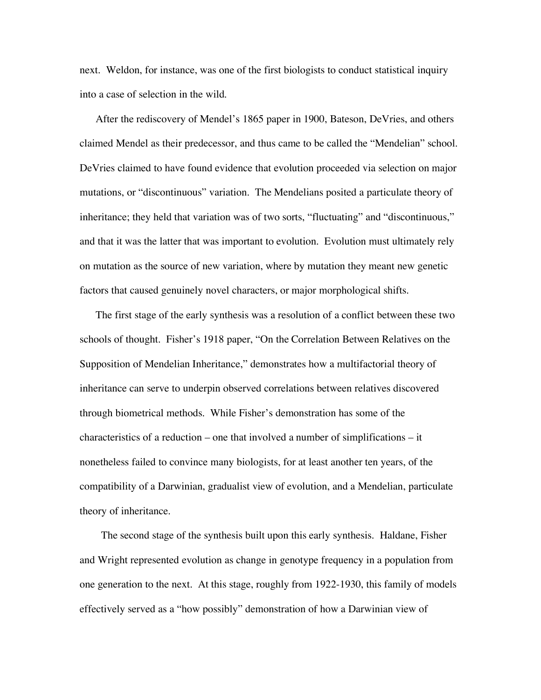next. Weldon, for instance, was one of the first biologists to conduct statistical inquiry into a case of selection in the wild.

After the rediscovery of Mendel's 1865 paper in 1900, Bateson, DeVries, and others claimed Mendel as their predecessor, and thus came to be called the "Mendelian" school. DeVries claimed to have found evidence that evolution proceeded via selection on major mutations, or "discontinuous" variation. The Mendelians posited a particulate theory of inheritance; they held that variation was of two sorts, "fluctuating" and "discontinuous," and that it was the latter that was important to evolution. Evolution must ultimately rely on mutation as the source of new variation, where by mutation they meant new genetic factors that caused genuinely novel characters, or major morphological shifts.

The first stage of the early synthesis was a resolution of a conflict between these two schools of thought. Fisher's 1918 paper, "On the Correlation Between Relatives on the Supposition of Mendelian Inheritance," demonstrates how a multifactorial theory of inheritance can serve to underpin observed correlations between relatives discovered through biometrical methods. While Fisher's demonstration has some of the characteristics of a reduction – one that involved a number of simplifications – it nonetheless failed to convince many biologists, for at least another ten years, of the compatibility of a Darwinian, gradualist view of evolution, and a Mendelian, particulate theory of inheritance.

The second stage of the synthesis built upon this early synthesis. Haldane, Fisher and Wright represented evolution as change in genotype frequency in a population from one generation to the next. At this stage, roughly from 1922-1930, this family of models effectively served as a "how possibly" demonstration of how a Darwinian view of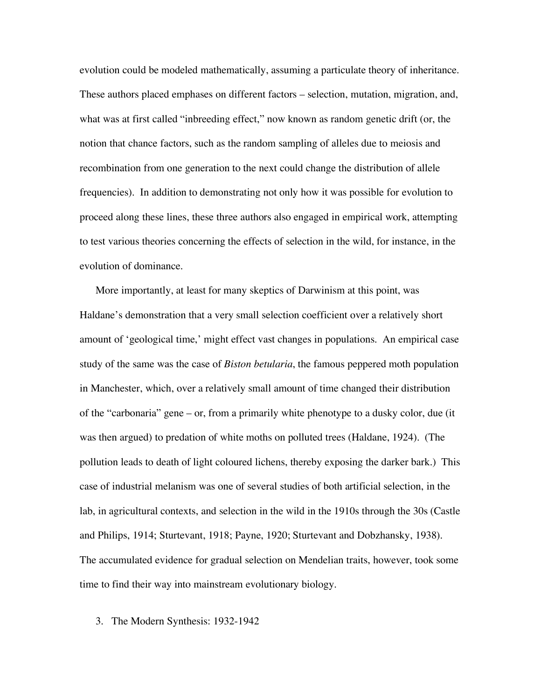evolution could be modeled mathematically, assuming a particulate theory of inheritance. These authors placed emphases on different factors – selection, mutation, migration, and, what was at first called "inbreeding effect," now known as random genetic drift (or, the notion that chance factors, such as the random sampling of alleles due to meiosis and recombination from one generation to the next could change the distribution of allele frequencies). In addition to demonstrating not only how it was possible for evolution to proceed along these lines, these three authors also engaged in empirical work, attempting to test various theories concerning the effects of selection in the wild, for instance, in the evolution of dominance.

More importantly, at least for many skeptics of Darwinism at this point, was Haldane's demonstration that a very small selection coefficient over a relatively short amount of 'geological time,' might effect vast changes in populations. An empirical case study of the same was the case of *Biston betularia*, the famous peppered moth population in Manchester, which, over a relatively small amount of time changed their distribution of the "carbonaria" gene – or, from a primarily white phenotype to a dusky color, due (it was then argued) to predation of white moths on polluted trees (Haldane, 1924). (The pollution leads to death of light coloured lichens, thereby exposing the darker bark.) This case of industrial melanism was one of several studies of both artificial selection, in the lab, in agricultural contexts, and selection in the wild in the 1910s through the 30s (Castle and Philips, 1914; Sturtevant, 1918; Payne, 1920; Sturtevant and Dobzhansky, 1938). The accumulated evidence for gradual selection on Mendelian traits, however, took some time to find their way into mainstream evolutionary biology.

3. The Modern Synthesis: 1932-1942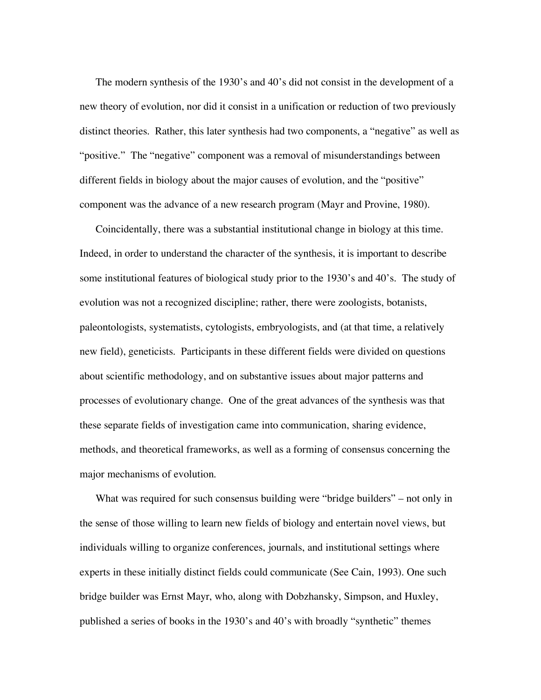The modern synthesis of the 1930's and 40's did not consist in the development of a new theory of evolution, nor did it consist in a unification or reduction of two previously distinct theories. Rather, this later synthesis had two components, a "negative" as well as "positive." The "negative" component was a removal of misunderstandings between different fields in biology about the major causes of evolution, and the "positive" component was the advance of a new research program (Mayr and Provine, 1980).

Coincidentally, there was a substantial institutional change in biology at this time. Indeed, in order to understand the character of the synthesis, it is important to describe some institutional features of biological study prior to the 1930's and 40's. The study of evolution was not a recognized discipline; rather, there were zoologists, botanists, paleontologists, systematists, cytologists, embryologists, and (at that time, a relatively new field), geneticists. Participants in these different fields were divided on questions about scientific methodology, and on substantive issues about major patterns and processes of evolutionary change. One of the great advances of the synthesis was that these separate fields of investigation came into communication, sharing evidence, methods, and theoretical frameworks, as well as a forming of consensus concerning the major mechanisms of evolution.

What was required for such consensus building were "bridge builders" – not only in the sense of those willing to learn new fields of biology and entertain novel views, but individuals willing to organize conferences, journals, and institutional settings where experts in these initially distinct fields could communicate (See Cain, 1993). One such bridge builder was Ernst Mayr, who, along with Dobzhansky, Simpson, and Huxley, published a series of books in the 1930's and 40's with broadly "synthetic" themes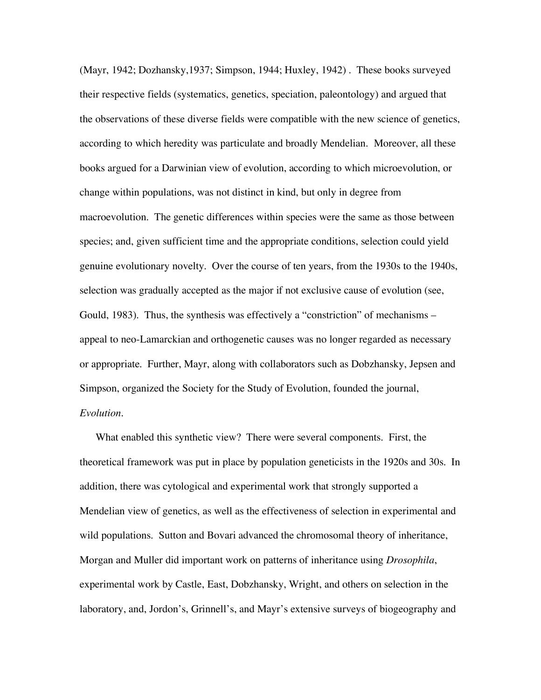(Mayr, 1942; Dozhansky,1937; Simpson, 1944; Huxley, 1942) . These books surveyed their respective fields (systematics, genetics, speciation, paleontology) and argued that the observations of these diverse fields were compatible with the new science of genetics, according to which heredity was particulate and broadly Mendelian. Moreover, all these books argued for a Darwinian view of evolution, according to which microevolution, or change within populations, was not distinct in kind, but only in degree from macroevolution. The genetic differences within species were the same as those between species; and, given sufficient time and the appropriate conditions, selection could yield genuine evolutionary novelty. Over the course of ten years, from the 1930s to the 1940s, selection was gradually accepted as the major if not exclusive cause of evolution (see, Gould, 1983). Thus, the synthesis was effectively a "constriction" of mechanisms – appeal to neo-Lamarckian and orthogenetic causes was no longer regarded as necessary or appropriate. Further, Mayr, along with collaborators such as Dobzhansky, Jepsen and Simpson, organized the Society for the Study of Evolution, founded the journal, *Evolution*.

What enabled this synthetic view? There were several components. First, the theoretical framework was put in place by population geneticists in the 1920s and 30s. In addition, there was cytological and experimental work that strongly supported a Mendelian view of genetics, as well as the effectiveness of selection in experimental and wild populations. Sutton and Bovari advanced the chromosomal theory of inheritance, Morgan and Muller did important work on patterns of inheritance using *Drosophila*, experimental work by Castle, East, Dobzhansky, Wright, and others on selection in the laboratory, and, Jordon's, Grinnell's, and Mayr's extensive surveys of biogeography and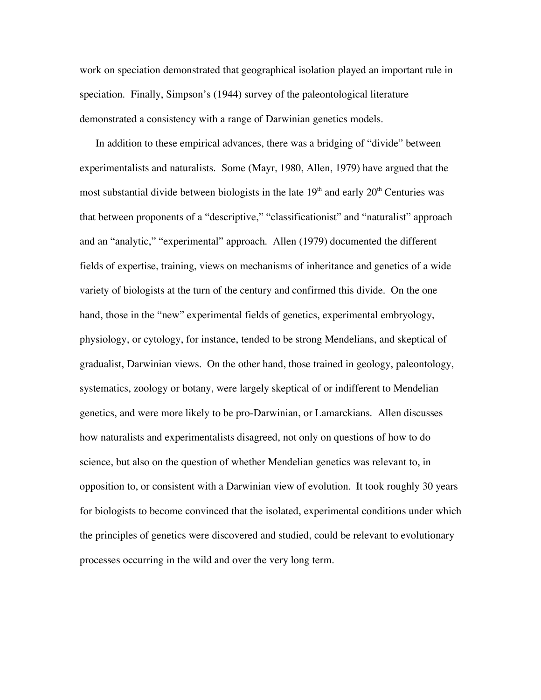work on speciation demonstrated that geographical isolation played an important rule in speciation. Finally, Simpson's (1944) survey of the paleontological literature demonstrated a consistency with a range of Darwinian genetics models.

In addition to these empirical advances, there was a bridging of "divide" between experimentalists and naturalists. Some (Mayr, 1980, Allen, 1979) have argued that the most substantial divide between biologists in the late  $19<sup>th</sup>$  and early  $20<sup>th</sup>$  Centuries was that between proponents of a "descriptive," "classificationist" and "naturalist" approach and an "analytic," "experimental" approach. Allen (1979) documented the different fields of expertise, training, views on mechanisms of inheritance and genetics of a wide variety of biologists at the turn of the century and confirmed this divide. On the one hand, those in the "new" experimental fields of genetics, experimental embryology, physiology, or cytology, for instance, tended to be strong Mendelians, and skeptical of gradualist, Darwinian views. On the other hand, those trained in geology, paleontology, systematics, zoology or botany, were largely skeptical of or indifferent to Mendelian genetics, and were more likely to be pro-Darwinian, or Lamarckians. Allen discusses how naturalists and experimentalists disagreed, not only on questions of how to do science, but also on the question of whether Mendelian genetics was relevant to, in opposition to, or consistent with a Darwinian view of evolution. It took roughly 30 years for biologists to become convinced that the isolated, experimental conditions under which the principles of genetics were discovered and studied, could be relevant to evolutionary processes occurring in the wild and over the very long term.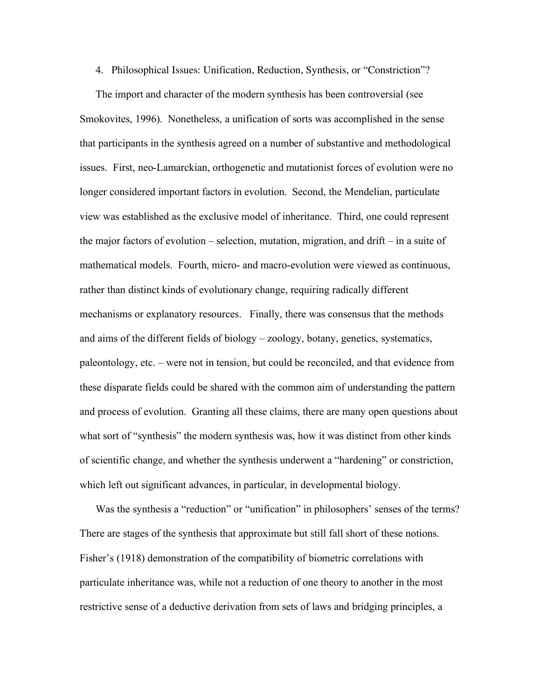4. Philosophical Issues: Unification, Reduction, Synthesis, or "Constriction"?

The import and character of the modern synthesis has been controversial (see Smokovites, 1996). Nonetheless, a unification of sorts was accomplished in the sense that participants in the synthesis agreed on a number of substantive and methodological issues. First, neo-Lamarckian, orthogenetic and mutationist forces of evolution were no longer considered important factors in evolution. Second, the Mendelian, particulate view was established as the exclusive model of inheritance. Third, one could represent the major factors of evolution – selection, mutation, migration, and drift – in a suite of mathematical models. Fourth, micro- and macro-evolution were viewed as continuous, rather than distinct kinds of evolutionary change, requiring radically different mechanisms or explanatory resources. Finally, there was consensus that the methods and aims of the different fields of biology – zoology, botany, genetics, systematics, paleontology, etc. – were not in tension, but could be reconciled, and that evidence from these disparate fields could be shared with the common aim of understanding the pattern and process of evolution. Granting all these claims, there are many open questions about what sort of "synthesis" the modern synthesis was, how it was distinct from other kinds of scientific change, and whether the synthesis underwent a "hardening" or constriction, which left out significant advances, in particular, in developmental biology.

Was the synthesis a "reduction" or "unification" in philosophers' senses of the terms? There are stages of the synthesis that approximate but still fall short of these notions. Fisher's (1918) demonstration of the compatibility of biometric correlations with particulate inheritance was, while not a reduction of one theory to another in the most restrictive sense of a deductive derivation from sets of laws and bridging principles, a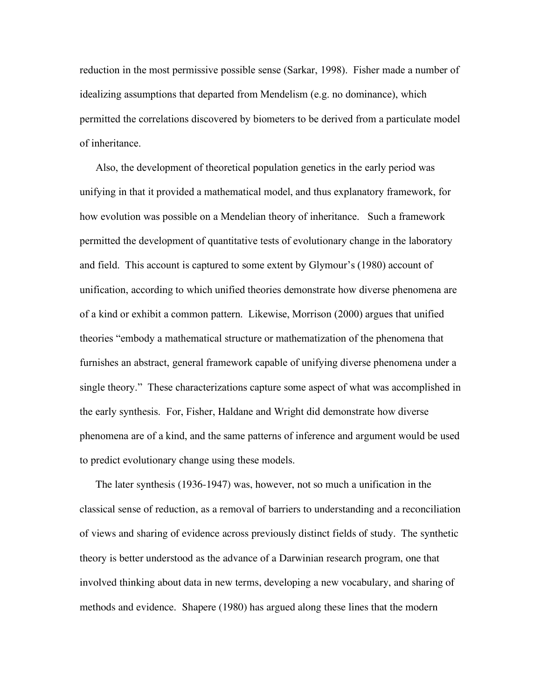reduction in the most permissive possible sense (Sarkar, 1998). Fisher made a number of idealizing assumptions that departed from Mendelism (e.g. no dominance), which permitted the correlations discovered by biometers to be derived from a particulate model of inheritance.

Also, the development of theoretical population genetics in the early period was unifying in that it provided a mathematical model, and thus explanatory framework, for how evolution was possible on a Mendelian theory of inheritance. Such a framework permitted the development of quantitative tests of evolutionary change in the laboratory and field. This account is captured to some extent by Glymour's (1980) account of unification, according to which unified theories demonstrate how diverse phenomena are of a kind or exhibit a common pattern. Likewise, Morrison (2000) argues that unified theories "embody a mathematical structure or mathematization of the phenomena that furnishes an abstract, general framework capable of unifying diverse phenomena under a single theory." These characterizations capture some aspect of what was accomplished in the early synthesis. For, Fisher, Haldane and Wright did demonstrate how diverse phenomena are of a kind, and the same patterns of inference and argument would be used to predict evolutionary change using these models.

The later synthesis (1936-1947) was, however, not so much a unification in the classical sense of reduction, as a removal of barriers to understanding and a reconciliation of views and sharing of evidence across previously distinct fields of study. The synthetic theory is better understood as the advance of a Darwinian research program, one that involved thinking about data in new terms, developing a new vocabulary, and sharing of methods and evidence. Shapere (1980) has argued along these lines that the modern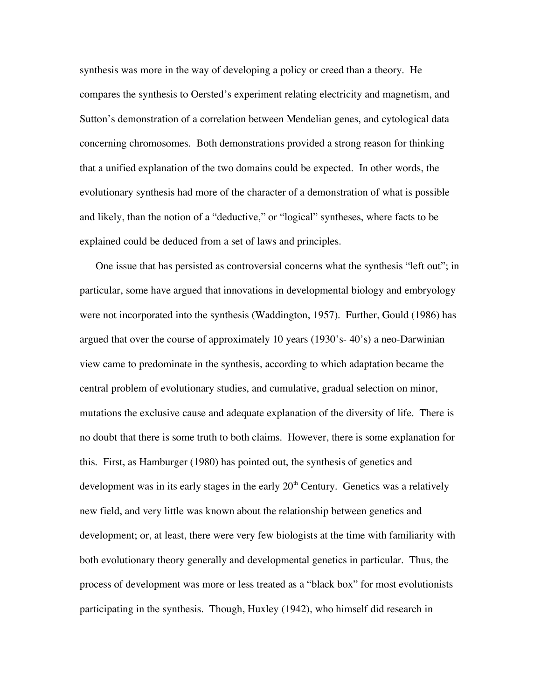synthesis was more in the way of developing a policy or creed than a theory. He compares the synthesis to Oersted's experiment relating electricity and magnetism, and Sutton's demonstration of a correlation between Mendelian genes, and cytological data concerning chromosomes. Both demonstrations provided a strong reason for thinking that a unified explanation of the two domains could be expected. In other words, the evolutionary synthesis had more of the character of a demonstration of what is possible and likely, than the notion of a "deductive," or "logical" syntheses, where facts to be explained could be deduced from a set of laws and principles.

One issue that has persisted as controversial concerns what the synthesis "left out"; in particular, some have argued that innovations in developmental biology and embryology were not incorporated into the synthesis (Waddington, 1957). Further, Gould (1986) has argued that over the course of approximately 10 years (1930's- 40's) a neo-Darwinian view came to predominate in the synthesis, according to which adaptation became the central problem of evolutionary studies, and cumulative, gradual selection on minor, mutations the exclusive cause and adequate explanation of the diversity of life. There is no doubt that there is some truth to both claims. However, there is some explanation for this. First, as Hamburger (1980) has pointed out, the synthesis of genetics and development was in its early stages in the early  $20<sup>th</sup>$  Century. Genetics was a relatively new field, and very little was known about the relationship between genetics and development; or, at least, there were very few biologists at the time with familiarity with both evolutionary theory generally and developmental genetics in particular. Thus, the process of development was more or less treated as a "black box" for most evolutionists participating in the synthesis. Though, Huxley (1942), who himself did research in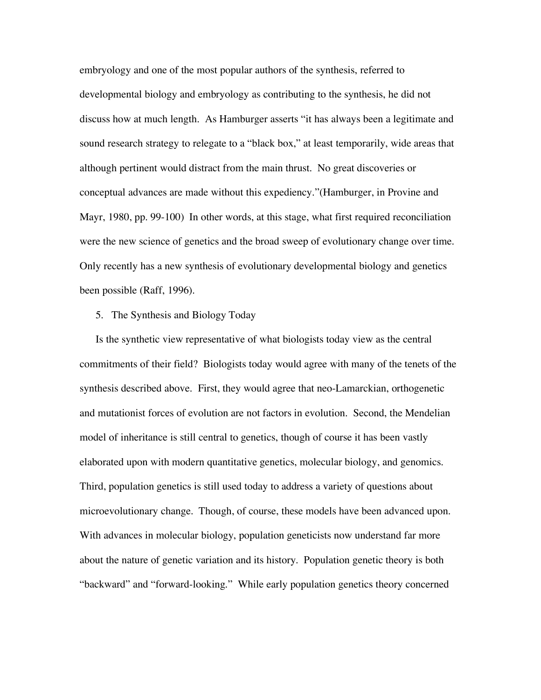embryology and one of the most popular authors of the synthesis, referred to developmental biology and embryology as contributing to the synthesis, he did not discuss how at much length. As Hamburger asserts "it has always been a legitimate and sound research strategy to relegate to a "black box," at least temporarily, wide areas that although pertinent would distract from the main thrust. No great discoveries or conceptual advances are made without this expediency."(Hamburger, in Provine and Mayr, 1980, pp. 99-100) In other words, at this stage, what first required reconciliation were the new science of genetics and the broad sweep of evolutionary change over time. Only recently has a new synthesis of evolutionary developmental biology and genetics been possible (Raff, 1996).

#### 5. The Synthesis and Biology Today

Is the synthetic view representative of what biologists today view as the central commitments of their field? Biologists today would agree with many of the tenets of the synthesis described above. First, they would agree that neo-Lamarckian, orthogenetic and mutationist forces of evolution are not factors in evolution. Second, the Mendelian model of inheritance is still central to genetics, though of course it has been vastly elaborated upon with modern quantitative genetics, molecular biology, and genomics. Third, population genetics is still used today to address a variety of questions about microevolutionary change. Though, of course, these models have been advanced upon. With advances in molecular biology, population geneticists now understand far more about the nature of genetic variation and its history. Population genetic theory is both "backward" and "forward-looking." While early population genetics theory concerned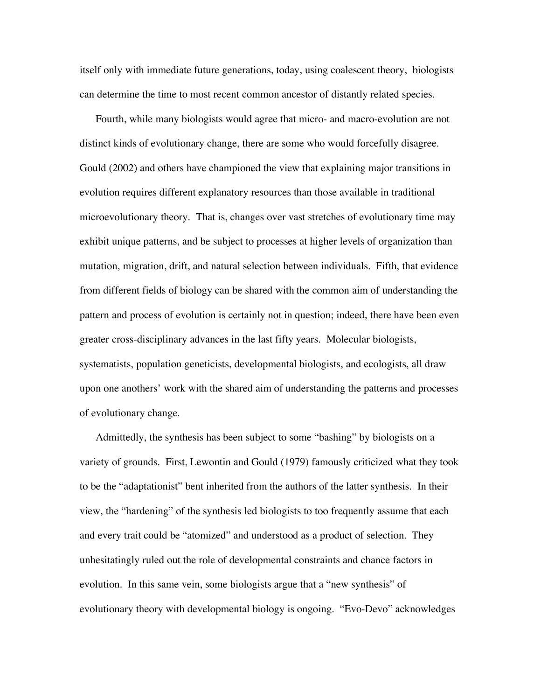itself only with immediate future generations, today, using coalescent theory, biologists can determine the time to most recent common ancestor of distantly related species.

Fourth, while many biologists would agree that micro- and macro-evolution are not distinct kinds of evolutionary change, there are some who would forcefully disagree. Gould (2002) and others have championed the view that explaining major transitions in evolution requires different explanatory resources than those available in traditional microevolutionary theory. That is, changes over vast stretches of evolutionary time may exhibit unique patterns, and be subject to processes at higher levels of organization than mutation, migration, drift, and natural selection between individuals. Fifth, that evidence from different fields of biology can be shared with the common aim of understanding the pattern and process of evolution is certainly not in question; indeed, there have been even greater cross-disciplinary advances in the last fifty years. Molecular biologists, systematists, population geneticists, developmental biologists, and ecologists, all draw upon one anothers' work with the shared aim of understanding the patterns and processes of evolutionary change.

Admittedly, the synthesis has been subject to some "bashing" by biologists on a variety of grounds. First, Lewontin and Gould (1979) famously criticized what they took to be the "adaptationist" bent inherited from the authors of the latter synthesis. In their view, the "hardening" of the synthesis led biologists to too frequently assume that each and every trait could be "atomized" and understood as a product of selection. They unhesitatingly ruled out the role of developmental constraints and chance factors in evolution. In this same vein, some biologists argue that a "new synthesis" of evolutionary theory with developmental biology is ongoing. "Evo-Devo" acknowledges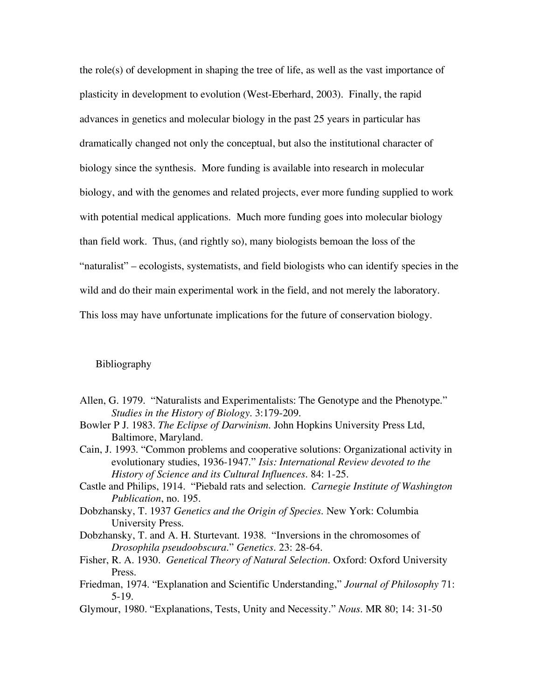the role(s) of development in shaping the tree of life, as well as the vast importance of plasticity in development to evolution (West-Eberhard, 2003). Finally, the rapid advances in genetics and molecular biology in the past 25 years in particular has dramatically changed not only the conceptual, but also the institutional character of biology since the synthesis. More funding is available into research in molecular biology, and with the genomes and related projects, ever more funding supplied to work with potential medical applications. Much more funding goes into molecular biology than field work. Thus, (and rightly so), many biologists bemoan the loss of the "naturalist" – ecologists, systematists, and field biologists who can identify species in the wild and do their main experimental work in the field, and not merely the laboratory. This loss may have unfortunate implications for the future of conservation biology.

# Bibliography

- Allen, G. 1979. "Naturalists and Experimentalists: The Genotype and the Phenotype." *Studies in the History of Biology*. 3:179-209.
- Bowler P J. 1983. *The Eclipse of Darwinism*. John Hopkins University Press Ltd, Baltimore, Maryland.
- Cain, J. 1993. "Common problems and cooperative solutions: Organizational activity in evolutionary studies, 1936-1947." *Isis: International Review devoted to the History of Science and its Cultural Influences*. 84: 1-25.
- Castle and Philips, 1914. "Piebald rats and selection. *Carnegie Institute of Washington Publication*, no. 195.
- Dobzhansky, T. 1937 *Genetics and the Origin of Species*. New York: Columbia University Press.
- Dobzhansky, T. and A. H. Sturtevant. 1938. "Inversions in the chromosomes of *Drosophila pseudoobscura*." *Genetics*. 23: 28-64.
- Fisher, R. A. 1930. *Genetical Theory of Natural Selection*. Oxford: Oxford University Press.
- Friedman, 1974. "Explanation and Scientific Understanding," *Journal of Philosophy* 71: 5-19.
- Glymour, 1980. "Explanations, Tests, Unity and Necessity." *Nous*. MR 80; 14: 31-50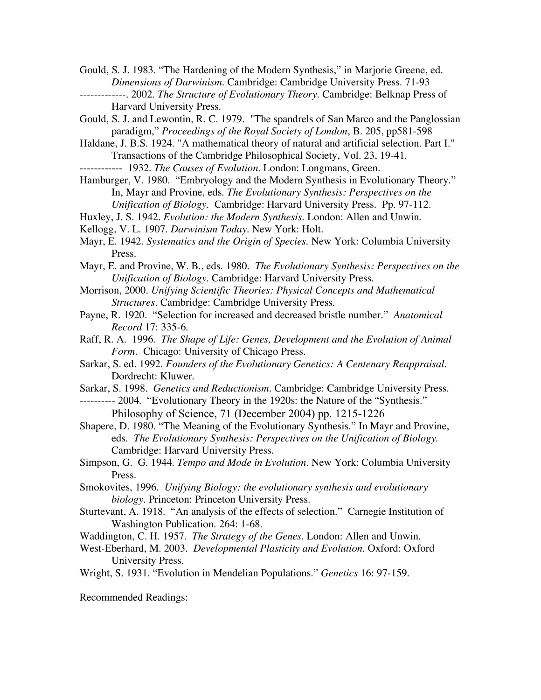Gould, S. J. 1983. "The Hardening of the Modern Synthesis," in Marjorie Greene, ed. *Dimensions of Darwinism*. Cambridge: Cambridge University Press. 71-93 -------------. 2002. *The Structure of Evolutionary Theory*. Cambridge: Belknap Press of

Harvard University Press.

Gould, S. J. and Lewontin, R. C. 1979. "The spandrels of San Marco and the Panglossian paradigm," *Proceedings of the Royal Society of London*, B. 205, pp581-598

Haldane, J. B.S. 1924. "A mathematical theory of natural and artificial selection. Part I." Transactions of the Cambridge Philosophical Society, Vol. 23, 19-41.

------------ 1932. *The Causes of Evolution*. London: Longmans, Green.

Hamburger, V. 1980. "Embryology and the Modern Synthesis in Evolutionary Theory." In, Mayr and Provine, eds. *The Evolutionary Synthesis: Perspectives on the Unification of Biology*. Cambridge: Harvard University Press. Pp. 97-112.

Huxley, J. S. 1942. *Evolution: the Modern Synthesis*. London: Allen and Unwin.

Kellogg, V. L. 1907. *Darwinism Today*. New York: Holt.

Mayr, E. 1942. *Systematics and the Origin of Species*. New York: Columbia University Press.

- Mayr, E. and Provine, W. B., eds. 1980. *The Evolutionary Synthesis: Perspectives on the Unification of Biology*. Cambridge: Harvard University Press.
- Morrison, 2000. *Unifying Scientific Theories: Physical Concepts and Mathematical Structures.* Cambridge: Cambridge University Press.
- Payne, R. 1920. "Selection for increased and decreased bristle number." *Anatomical Record* 17: 335-6.
- Raff, R. A. 1996. *The Shape of Life: Genes, Development and the Evolution of Animal Form.* Chicago: University of Chicago Press.
- Sarkar, S. ed. 1992. *Founders of the Evolutionary Genetics: A Centenary Reappraisal.* Dordrecht: Kluwer.

Sarkar, S. 1998. *Genetics and Reductionism*. Cambridge: Cambridge University Press.

---------- 2004. "Evolutionary Theory in the 1920s: the Nature of the "Synthesis." Philosophy of Science, 71 (December 2004) pp. 1215-1226

Shapere, D. 1980. "The Meaning of the Evolutionary Synthesis." In Mayr and Provine, eds. *The Evolutionary Synthesis: Perspectives on the Unification of Biology*. Cambridge: Harvard University Press.

- Simpson, G. G. 1944. *Tempo and Mode in Evolution*. New York: Columbia University Press.
- Smokovites, 1996. *Unifying Biology: the evolutionary synthesis and evolutionary biology.* Princeton: Princeton University Press.
- Sturtevant, A. 1918. "An analysis of the effects of selection." Carnegie Institution of Washington Publication. 264: 1-68.
- Waddington, C. H. 1957. *The Strategy of the Genes*. London: Allen and Unwin.
- West-Eberhard, M. 2003. *Developmental Plasticity and Evolution*. Oxford: Oxford University Press.

Wright, S. 1931. "Evolution in Mendelian Populations." *Genetics* 16: 97-159.

Recommended Readings: